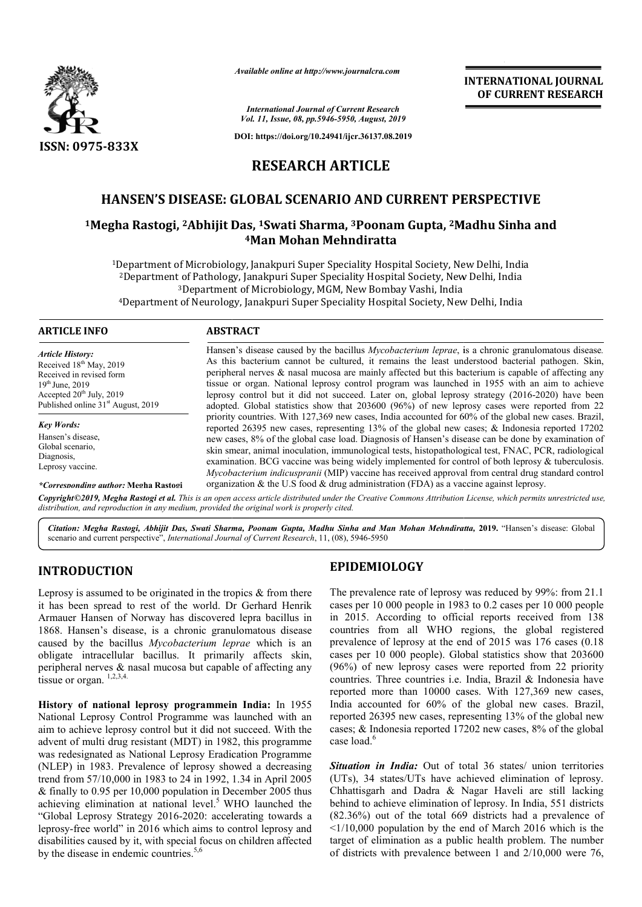

*Available online at http://www.journalcra.com*

**INTERNATIONAL JOURNAL OF CURRENT RESEARCH**

*International Journal of Current Research Vol. 11, Issue, 08, pp.5946-5950, August, 2019*

**DOI: https://doi.org/10.24941/ijcr.36137.08.2019**

# **RESEARCH ARTICLE**

# **HANSEN'S DISEASE: GLOBAL SCENARIO AND CURRENT PERSPECTIVE**

# <sup>1</sup>Megha Rastogi, <sup>2</sup>Abhijit Das, <sup>1</sup>Swati Sharma, <sup>3</sup>Poonam Gupta, <sup>2</sup>Madhu Sinha and **4Man Mohan Mehndiratta**

<sup>1</sup>Department of Microbiology, Janakpuri Super Speciality Hospital Society, New Delhi, India Department of Microbiology, Janakpuri Super Speciality Hospital Society, New Delhi, India <sup>2</sup>Department of Pathology, Janakpuri Super Speciality Hospital Society, New Delhi, India <sup>3</sup>Department of Microbiology, MGM, New Bombay Vashi, India <sup>2</sup>Department of Pathology, Janakpuri Super Speciality Hospital Society, New Delhi, India<br><sup>3</sup>Department of Microbiology, MGM, New Bombay Vashi, India<br><sup>4</sup>Department of Neurology, Janakpuri Super Speciality Hospital Society,

### **ARTICLE INFO ABSTRACT**

*Article History:* Received 18<sup>th</sup> May, 2019 Received in revised form 19th June, 2019 Accepted  $20^{th}$  July, 2019 Published online 31<sup>st</sup> August, 2019

*Key Words:* Hansen's disease, Global scenario, Diagnosis, Leprosy vaccine.

Hansen's disease caused by the bacillus *Mycobacterium leprae*, is a chronic granulomatous disease. As this bacterium cannot be cultured, it remains the least understood bacterial pathogen. Skin, peripheral nerves & nasal mucosa are mainly affected but this bacterium is capable of affecting any tissue or organ. National leprosy control program was launched in 1955 with an aim to achieve As this bacterium cannot be cultured, it remains the least understood bacterial pathogen. Skin, peripheral nerves & nasal mucosa are mainly affected but this bacterium is capable of affecting any tissue or organ. National adopted. Global statistics show that 203600 (96%) of new leprosy cases were reported from 22 priority countries. With 127,369 new cases, India accounted for 60% of the global new cases. Brazil, reported 26395 new cases, representing 13% of the global new cases; & Indonesia reported 17202 new cases, 8% of the global case load. Diagnosis of Hansen's disease can be done by examinat skin smear, animal inoculation, immunological tests, histopathological test, FNAC, PCR, radiological examination. BCG vaccine was being widely implemented for control of both leprosy & tuberculosis. *Mycobacterium indicuspranii* (MIP) vaccine has received approval from central drug standard control organization  $\&$  the U.S food  $\&$  drug administration (FDA) as a vaccine against leprosy. adopted. Global statistics show that 203600 (96%) of new leprosy cases were reported from 22 priority countries. With 127,369 new cases, India accounted for 60% of the global new cases. Brazil, reported 26395 new cases, re skin smear, animal inoculation, immunological tests, histopathological test, FNAC, PCR, radiological examination. BCG vaccine was being widely implemented for control of both leprosy & tuberculosis. *Mycobacterium indicusp* 

*\*Corresponding author:* **Megha Rastogi**

Copyright©2019, Megha Rastogi et al. This is an open access article distributed under the Creative Commons Attribution License, which permits unrestricted use, *distribution, and reproduction in any medium, provided the original work is properly cited.*

*Citation: Megha Rastogi, Abhijit Das, Swati Sharma, Poonam Gupta, Madhu Sinha and Man Mohan Mehndiratta Sharma, and Mohan Mehndiratta,* **2019.** "Hansen's disease: Global scenario and current perspective", *International Journal of Current Research* , 11, (08), 5946-5950

# **INTRODUCTION**

Leprosy is assumed to be originated in the tropics  $\&$  from there it has been spread to rest of the world. Dr Gerhard Henrik Armauer Hansen of Norway has discovered lepra bacillus in 1868. Hansen's disease, is a chronic granulomatous disease caused by the bacillus *Mycobacterium leprae*  which is an obligate intracellular bacillus. It primarily affects skin, peripheral nerves & nasal mucosa but capable of affecting any tissue or organ.  $1,2,3,4$ .

**History of national leprosy programmein India:** In 1955 National Leprosy Control Programme was launched with an aim to achieve leprosy control but it did not succeed. With the advent of multi drug resistant (MDT) in 1982, this programme was redesignated as National Leprosy Eradication Programme (NLEP) in 1983. Prevalence of leprosy showed a decreasi decreasing trend from 57/10,000 in 1983 to 24 in 1992, 1.34 in April 2005 & finally to 0.95 per 10,000 population in December 2005 thus achieving elimination at national level.<sup>5</sup> WHO launched the "Global Leprosy Strategy 2016-2020: accelerating towards a leprosy-free world" in 2016 which aims to control leprosy and disabilities caused by it, with special focus on children affected by the disease in endemic countries.<sup>5,6</sup> **EPIDEMIOLOGY**<br> **EPIDEMIOLOGY**<br> **EPIDEMIOLOGY**<br> **ERIDEMIOLOGY**<br> **ERIDEMIOLOGY**<br> **ERIDEMIOLOGY**<br> **ERIDEMIOLOGY**<br> **ERIDEMIOLOGY**<br> **ERIDEMIOLOGY**<br> **ERIDEMIOLOGY**<br> **ERIDEMIOLOGY**<br> **ERIDEMIOLOGY**<br> **ERIDEMIOLOGY**<br> **ERIDEMIOLOGY** 

The prevalence rate of leprosy was reduced by 99%: from 21.1 cases per 10 000 people in 1983 to 0.2 cases per 10 000 people in 2015. According to official reports received from 138 countries from all WHO regions, the global registered The prevalence rate of leprosy was reduced by 99%: from 21.1 cases per 10 000 people in 2015. According to official reports received from 138 countries from all WHO regions, the global registered prevalence of leprosy at t cases per 10 000 people). Global statistics show that 203600 (96%) of new leprosy cases were reported from 22 priority countries. Three countries i.e. India, Brazil & Indonesia have reported more than 10000 cases. With 127,369 new cases, India accounted for 60% of the global new cases. Brazil, reported 26395 new cases, representing 13% of the global new cases; & Indonesia reported 17202 new cases, 8% of the global case load<sup>6</sup> (96%) of new leprosy cases were reported from 22 priority countries. Three countries i.e. India, Brazil & Indonesia have reported more than 10000 cases. With 127,369 new cases, India accounted for  $60\%$  of the global new ed 26395 new cases, representing 13% of the global new<br>
& Indonesia reported 17202 new cases, 8% of the global<br>
and.<sup>6</sup><br> **ion in India:** Out of total 36 states/ union territories<br>
34 states/UTs have achieved elimination of **EXERVATIONAL JOURNAL FORCESS from the CONSTRANT CONSTRANT OF CURRENT RESEARCH CHEVAL CONSTRANT CONSTRANT PERSPECTIVE (6137.88.2019)<br>
<b>CLE CHEVALU SUBARENT PERSPECTIVE**<br> **SUBARENT PERSPECTIVE**<br> **SUBARENT PERSPECTIVE**<br> **SU** 

*Situation in India:* Out of total 36 states/ union territories (UTs), 34 states/UTs have achieved elimination of le Chhattisgarh and Dadra & Nagar Haveli are still lacking behind to achieve elimination of leprosy. In India, 551 districts (82.36%) out of the total 669 districts had a prevalence of  $\leq 1/10,000$  population by the end of March 2016 which is the target of elimination as a public health problem. The number of districts with prevalence between 1 and 2/10,000 were 76,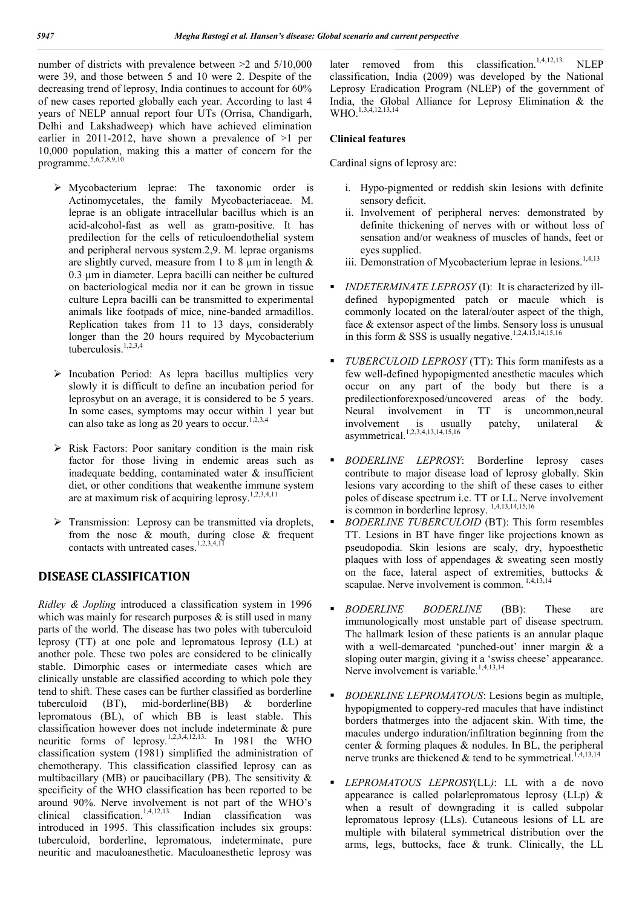number of districts with prevalence between >2 and 5/10,000 were 39, and those between 5 and 10 were 2. Despite of the decreasing trend of leprosy, India continues to account for 60% of new cases reported globally each year. According to last 4 years of NELP annual report four UTs (Orrisa, Chandigarh, Delhi and Lakshadweep) which have achieved elimination earlier in 2011-2012, have shown a prevalence of  $>1$  per 10,000 population, making this a matter of concern for the programme.5,6,7,8,9,10

- Mycobacterium leprae: The taxonomic order is Actinomycetales, the family Mycobacteriaceae. M. leprae is an obligate intracellular bacillus which is an acid-alcohol-fast as well as gram-positive. It has predilection for the cells of reticuloendothelial system and peripheral nervous system.2,9. M. leprae organisms are slightly curved, measure from 1 to 8  $\mu$ m in length  $\&$ 0.3 µm in diameter. Lepra bacilli can neither be cultured on bacteriological media nor it can be grown in tissue culture Lepra bacilli can be transmitted to experimental animals like footpads of mice, nine-banded armadillos. Replication takes from 11 to 13 days, considerably longer than the 20 hours required by Mycobacterium tuberculosis.<sup>1,2,3,4</sup>
- $\triangleright$  Incubation Period: As lepra bacillus multiplies very slowly it is difficult to define an incubation period for leprosybut on an average, it is considered to be 5 years. In some cases, symptoms may occur within 1 year but can also take as long as 20 years to occur.<sup>1,2,3,4</sup>
- $\triangleright$  Risk Factors: Poor sanitary condition is the main risk factor for those living in endemic areas such as inadequate bedding, contaminated water & insufficient diet, or other conditions that weakenthe immune system are at maximum risk of acquiring leprosy.<sup>1,2,3,4,11</sup>
- $\triangleright$  Transmission: Leprosy can be transmitted via droplets, from the nose  $\&$  mouth, during close  $\&$  frequent contacts with untreated cases.<sup>1,2,3,4,1</sup>

# **DISEASE CLASSIFICATION**

*Ridley & Jopling* introduced a classification system in 1996 which was mainly for research purposes  $\&$  is still used in many parts of the world. The disease has two poles with tuberculoid leprosy (TT) at one pole and lepromatous leprosy (LL) at another pole. These two poles are considered to be clinically stable. Dimorphic cases or intermediate cases which are clinically unstable are classified according to which pole they tend to shift. These cases can be further classified as borderline tuberculoid (BT), mid-borderline(BB) & borderline lepromatous (BL), of which BB is least stable. This classification however does not include indeterminate & pure neuritic forms of leprosy.<sup>1,2,3,4,12,13.</sup> In 1981 the WHO classification system (1981) simplified the administration of chemotherapy. This classification classified leprosy can as multibacillary (MB) or paucibacillary (PB). The sensitivity  $\&$ specificity of the WHO classification has been reported to be around 90%. Nerve involvement is not part of the WHO's clinical classification.<sup>1,4,12,13.</sup> Indian classification was introduced in 1995. This classification includes six groups: tuberculoid, borderline, lepromatous, indeterminate, pure neuritic and maculoanesthetic. Maculoanesthetic leprosy was

later removed from this classification.<sup>1,4,12,13.</sup> NLEP classification, India (2009) was developed by the National Leprosy Eradication Program (NLEP) of the government of India, the Global Alliance for Leprosy Elimination & the WHO.<sup>1,3,4,12,13,14</sup>

### **Clinical features**

Cardinal signs of leprosy are:

- i. Hypo-pigmented or reddish skin lesions with definite sensory deficit.
- ii. Involvement of peripheral nerves: demonstrated by definite thickening of nerves with or without loss of sensation and/or weakness of muscles of hands, feet or eyes supplied.
- iii. Demonstration of Mycobacterium leprae in lesions.<sup>1,4,13</sup>
- *INDETERMINATE LEPROSY* (I): It is characterized by illdefined hypopigmented patch or macule which is commonly located on the lateral/outer aspect of the thigh, face & extensor aspect of the limbs. Sensory loss is unusual in this form  $\&$  SSS is usually negative.<sup>1,2,4,13,14,15,16</sup>
- *TUBERCULOID LEPROSY* (TT): This form manifests as a few well-defined hypopigmented anesthetic macules which occur on any part of the body but there is a predilectionforexposed/uncovered areas of the body. Neural involvement in TT is uncommon,neural involvement is usually patchy, unilateral & asymmetrical.1,2,3,4,13,14,15,16
- *BODERLINE LEPROSY*: Borderline leprosy cases contribute to major disease load of leprosy globally. Skin lesions vary according to the shift of these cases to either poles of disease spectrum i.e. TT or LL. Nerve involvement is common in borderline leprosy. 1,4,13,14,15,16
- *BODERLINE TUBERCULOID* (BT): This form resembles TT. Lesions in BT have finger like projections known as pseudopodia. Skin lesions are scaly, dry, hypoesthetic plaques with loss of appendages & sweating seen mostly on the face, lateral aspect of extremities, buttocks & scapulae. Nerve involvement is common. <sup>1,4,13,14</sup>
- *BODERLINE BODERLINE* (BB): These are immunologically most unstable part of disease spectrum. The hallmark lesion of these patients is an annular plaque with a well-demarcated 'punched-out' inner margin & a sloping outer margin, giving it a 'swiss cheese' appearance. Nerve involvement is variable.<sup>1,4,13,14</sup>
- *BODERLINE LEPROMATOUS*: Lesions begin as multiple, hypopigmented to coppery-red macules that have indistinct borders thatmerges into the adjacent skin. With time, the macules undergo induration/infiltration beginning from the center  $&$  forming plaques  $&$  nodules. In BL, the peripheral nerve trunks are thickened  $\&$  tend to be symmetrical.<sup>1,4,13,14</sup>
- *LEPROMATOUS LEPROSY*(LL*)*: LL with a de novo appearance is called polarlepromatous leprosy (LLp) & when a result of downgrading it is called subpolar lepromatous leprosy (LLs). Cutaneous lesions of LL are multiple with bilateral symmetrical distribution over the arms, legs, buttocks, face & trunk. Clinically, the LL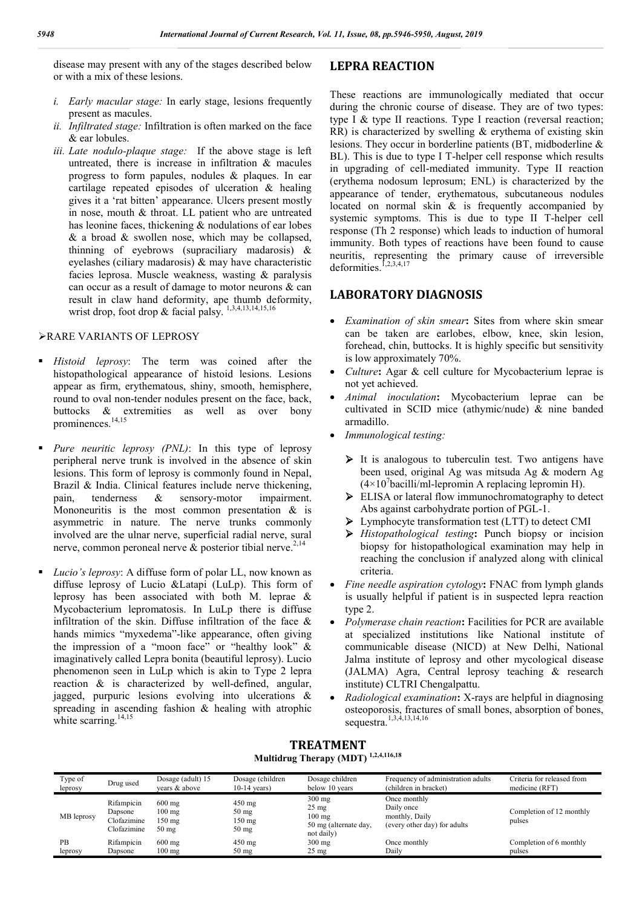disease may present with any of the stages described below or with a mix of these lesions.

- *i. Early macular stage:* In early stage, lesions frequently present as macules.
- *ii. Infiltrated stage:* Infiltration is often marked on the face & ear lobules.
- *iii. Late nodulo-plaque stage:* If the above stage is left untreated, there is increase in infiltration & macules progress to form papules, nodules & plaques. In ear cartilage repeated episodes of ulceration & healing gives it a 'rat bitten' appearance. Ulcers present mostly in nose, mouth & throat. LL patient who are untreated has leonine faces, thickening & nodulations of ear lobes  $\&$  a broad  $\&$  swollen nose, which may be collapsed, thinning of eyebrows (supraciliary madarosis) & eyelashes (ciliary madarosis) & may have characteristic facies leprosa. Muscle weakness, wasting & paralysis can occur as a result of damage to motor neurons & can result in claw hand deformity, ape thumb deformity, wrist drop, foot drop & facial palsy.  $^{1,3,4,13,14,15,16}$

### RARE VARIANTS OF LEPROSY

- *Histoid leprosy*: The term was coined after the histopathological appearance of histoid lesions. Lesions appear as firm, erythematous, shiny, smooth, hemisphere, round to oval non-tender nodules present on the face, back, buttocks & extremities as well as over bony prominences.14,15
- *Pure neuritic leprosy (PNL)*: In this type of leprosy peripheral nerve trunk is involved in the absence of skin lesions. This form of leprosy is commonly found in Nepal, Brazil & India. Clinical features include nerve thickening, pain, tenderness & sensory-motor impairment. Mononeuritis is the most common presentation  $\&$  is asymmetric in nature. The nerve trunks commonly involved are the ulnar nerve, superficial radial nerve, sural nerve, common peroneal nerve  $\&$  posterior tibial nerve.<sup>2,14</sup>
- *Lucio's leprosy*: A diffuse form of polar LL, now known as diffuse leprosy of Lucio &Latapi (LuLp). This form of leprosy has been associated with both M. leprae & Mycobacterium lepromatosis. In LuLp there is diffuse infiltration of the skin. Diffuse infiltration of the face & hands mimics "myxedema"-like appearance, often giving the impression of a "moon face" or "healthy look" & imaginatively called Lepra bonita (beautiful leprosy). Lucio phenomenon seen in LuLp which is akin to Type 2 lepra reaction & is characterized by well-defined, angular, jagged, purpuric lesions evolving into ulcerations & spreading in ascending fashion & healing with atrophic white scarring. $14,15$

# **LEPRA REACTION**

These reactions are immunologically mediated that occur during the chronic course of disease. They are of two types: type I & type II reactions. Type I reaction (reversal reaction; RR) is characterized by swelling & erythema of existing skin lesions. They occur in borderline patients (BT, midboderline & BL). This is due to type I T-helper cell response which results in upgrading of cell-mediated immunity. Type II reaction (erythema nodosum leprosum; ENL) is characterized by the appearance of tender, erythematous, subcutaneous nodules located on normal skin & is frequently accompanied by systemic symptoms. This is due to type II T-helper cell response (Th 2 response) which leads to induction of humoral immunity. Both types of reactions have been found to cause neuritis, representing the primary cause of irreversible deformities.<sup> $1,2,3,4,17$ </sup>

# **LABORATORY DIAGNOSIS**

- *Examination of skin smear***:** Sites from where skin smear can be taken are earlobes, elbow, knee, skin lesion, forehead, chin, buttocks. It is highly specific but sensitivity is low approximately 70%.
- *Culture*: Agar & cell culture for Mycobacterium leprae is not yet achieved.
- *Animal inoculation***:** Mycobacterium leprae can be cultivated in SCID mice (athymic/nude) & nine banded armadillo.
- *Immunological testing:*
	- $\triangleright$  It is analogous to tuberculin test. Two antigens have been used, original Ag was mitsuda Ag & modern Ag  $(4\times10^7$ bacilli/ml-lepromin A replacing lepromin H).
	- ELISA or lateral flow immunochromatography to detect Abs against carbohydrate portion of PGL-1.
	- Lymphocyte transformation test (LTT) to detect CMI
	- *Histopathological testing***:** Punch biopsy or incision biopsy for histopathological examination may help in reaching the conclusion if analyzed along with clinical criteria.
- *Fine needle aspiration cytology***:** FNAC from lymph glands is usually helpful if patient is in suspected lepra reaction type 2.
- *Polymerase chain reaction***:** Facilities for PCR are available at specialized institutions like National institute of communicable disease (NICD) at New Delhi, National Jalma institute of leprosy and other mycological disease (JALMA) Agra, Central leprosy teaching & research institute) CLTRI Chengalpattu.
- *Radiological examination***:** X-rays are helpful in diagnosing osteoporosis, fractures of small bones, absorption of bones, sequestra.1,3,4,13,14,16

# **TREATMENT Multidrug Therapy (MDT) 1,2,4,116,18**

| Type of<br>leprosy | Drug used                                           | Dosage (adult) 15<br>vears & above                                          | Dosage (children<br>$10-14$ years)                               | Dosage children<br>below 10 years                                                      | Frequency of administration adults<br>(children in bracket)                  | Criteria for released from<br>medicine (RFT) |
|--------------------|-----------------------------------------------------|-----------------------------------------------------------------------------|------------------------------------------------------------------|----------------------------------------------------------------------------------------|------------------------------------------------------------------------------|----------------------------------------------|
| MB leprosy         | Rifampicin<br>Dapsone<br>Clofazimine<br>Clofazimine | $600 \text{ mg}$<br>$100 \text{ mg}$<br>$150 \text{ mg}$<br>$50 \text{ mg}$ | $450 \text{ mg}$<br>$50 \text{ mg}$<br>$150 \text{ mg}$<br>50 mg | $300$ mg<br>$25 \text{ mg}$<br>$100 \text{ mg}$<br>50 mg (alternate day,<br>not daily) | Once monthly<br>Daily once<br>monthly, Daily<br>(every other day) for adults | Completion of 12 monthly<br>pulses           |
| PB                 | Rifampicin                                          | $600 \text{ mg}$                                                            | $450 \text{ mg}$                                                 | $300$ mg                                                                               | Once monthly                                                                 | Completion of 6 monthly                      |
| leprosy            | Dapsone                                             | $100 \text{ mg}$                                                            | $50 \text{ mg}$                                                  | $25 \text{ mg}$                                                                        | Daily                                                                        | pulses                                       |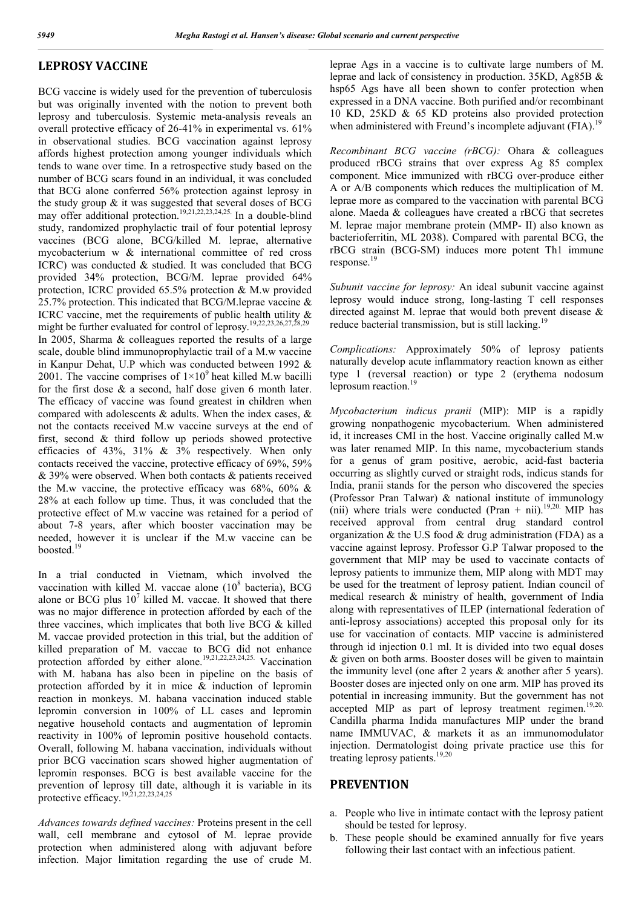# **LEPROSY VACCINE**

BCG vaccine is widely used for the prevention of tuberculosis but was originally invented with the notion to prevent both leprosy and tuberculosis. Systemic meta-analysis reveals an overall protective efficacy of 26-41% in experimental vs. 61% in observational studies. BCG vaccination against leprosy affords highest protection among younger individuals which tends to wane over time. In a retrospective study based on the number of BCG scars found in an individual, it was concluded that BCG alone conferred 56% protection against leprosy in the study group & it was suggested that several doses of BCG may offer additional protection.<sup>19,21,22,23,24,25.</sup> In a double-blind study, randomized prophylactic trail of four potential leprosy vaccines (BCG alone, BCG/killed M. leprae, alternative mycobacterium w & international committee of red cross ICRC) was conducted & studied. It was concluded that BCG provided 34% protection, BCG/M. leprae provided 64% protection, ICRC provided 65.5% protection & M.w provided 25.7% protection. This indicated that BCG/M.leprae vaccine & ICRC vaccine, met the requirements of public health utility & might be further evaluated for control of leprosy.<sup>19,22,23,26,27,28,2</sup> In 2005, Sharma & colleagues reported the results of a large scale, double blind immunoprophylactic trail of a M.w vaccine in Kanpur Dehat, U.P which was conducted between 1992 & 2001. The vaccine comprises of  $1\times10^{9}$  heat killed M.w bacilli for the first dose & a second, half dose given 6 month later. The efficacy of vaccine was found greatest in children when compared with adolescents & adults. When the index cases, & not the contacts received M.w vaccine surveys at the end of first, second & third follow up periods showed protective efficacies of 43%, 31% & 3% respectively. When only contacts received the vaccine, protective efficacy of 69%, 59% & 39% were observed. When both contacts & patients received the M.w vaccine, the protective efficacy was  $68\%$ ,  $60\%$  & 28% at each follow up time. Thus, it was concluded that the protective effect of M.w vaccine was retained for a period of about 7-8 years, after which booster vaccination may be needed, however it is unclear if the M.w vaccine can be boosted.<sup>19</sup>

In a trial conducted in Vietnam, which involved the vaccination with killed M. vaccae alone  $(10^8 \text{ bacteria})$ , BCG alone or BCG plus  $10^7$  killed M. vaccae. It showed that there was no major difference in protection afforded by each of the three vaccines, which implicates that both live BCG & killed M. vaccae provided protection in this trial, but the addition of killed preparation of M. vaccae to BCG did not enhance protection afforded by either alone.<sup>19,21,22,23,24,25.</sup> Vaccination with M. habana has also been in pipeline on the basis of protection afforded by it in mice & induction of lepromin reaction in monkeys. M. habana vaccination induced stable lepromin conversion in 100% of LL cases and lepromin negative household contacts and augmentation of lepromin reactivity in 100% of lepromin positive household contacts. Overall, following M. habana vaccination, individuals without prior BCG vaccination scars showed higher augmentation of lepromin responses. BCG is best available vaccine for the prevention of leprosy till date, although it is variable in its protective efficacy.<sup>19,21,22,23,24,25</sup>

*Advances towards defined vaccines:* Proteins present in the cell wall, cell membrane and cytosol of M. leprae provide protection when administered along with adjuvant before infection. Major limitation regarding the use of crude M.

leprae Ags in a vaccine is to cultivate large numbers of M. leprae and lack of consistency in production. 35KD, Ag85B & hsp65 Ags have all been shown to confer protection when expressed in a DNA vaccine. Both purified and/or recombinant 10 KD, 25KD & 65 KD proteins also provided protection when administered with Freund's incomplete adjuvant (FIA).<sup>19</sup>

*Recombinant BCG vaccine (rBCG):* Ohara & colleagues produced rBCG strains that over express Ag 85 complex component. Mice immunized with rBCG over-produce either A or A/B components which reduces the multiplication of M. leprae more as compared to the vaccination with parental BCG alone. Maeda & colleagues have created a rBCG that secretes M. leprae major membrane protein (MMP- II) also known as bacterioferritin, ML 2038). Compared with parental BCG, the rBCG strain (BCG-SM) induces more potent Th1 immune response.<sup>19</sup>

*Subunit vaccine for leprosy:* An ideal subunit vaccine against leprosy would induce strong, long-lasting T cell responses directed against M. leprae that would both prevent disease & reduce bacterial transmission, but is still lacking.<sup>19</sup>

*Complications:* Approximately 50% of leprosy patients naturally develop acute inflammatory reaction known as either type 1 (reversal reaction) or type 2 (erythema nodosum leprosum reaction.<sup>19</sup>

*Mycobacterium indicus pranii* (MIP): MIP is a rapidly growing nonpathogenic mycobacterium. When administered id, it increases CMI in the host. Vaccine originally called M.w was later renamed MIP. In this name, mycobacterium stands for a genus of gram positive, aerobic, acid-fast bacteria occurring as slightly curved or straight rods, indicus stands for India, pranii stands for the person who discovered the species (Professor Pran Talwar) & national institute of immunology (nii) where trials were conducted (Pran + nii).<sup>19,20.</sup> MIP has received approval from central drug standard control organization  $\&$  the U.S food  $\&$  drug administration (FDA) as a vaccine against leprosy. Professor G.P Talwar proposed to the government that MIP may be used to vaccinate contacts of leprosy patients to immunize them, MIP along with MDT may be used for the treatment of leprosy patient. Indian council of medical research & ministry of health, government of India along with representatives of ILEP (international federation of anti-leprosy associations) accepted this proposal only for its use for vaccination of contacts. MIP vaccine is administered through id injection 0.1 ml. It is divided into two equal doses & given on both arms. Booster doses will be given to maintain the immunity level (one after 2 years & another after 5 years). Booster doses are injected only on one arm. MIP has proved its potential in increasing immunity. But the government has not accepted MIP as part of leprosy treatment regimen.<sup>19,20.</sup> Candilla pharma Indida manufactures MIP under the brand name IMMUVAC, & markets it as an immunomodulator injection. Dermatologist doing private practice use this for treating leprosy patients.<sup>19,20</sup>

### **PREVENTION**

- a. People who live in intimate contact with the leprosy patient should be tested for leprosy.
- b. These people should be examined annually for five years following their last contact with an infectious patient.